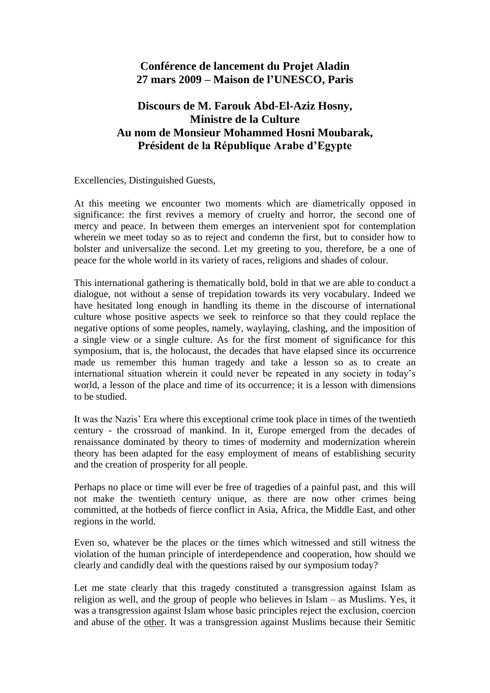## **Conférence de lancement du Projet Aladin 27 mars 2009 – Maison de l'UNESCO, Paris**

## **Discours de M. Farouk Abd-El-Aziz Hosny, Ministre de la Culture Au nom de Monsieur Mohammed Hosni Moubarak, Président de la République Arabe d'Egypte**

Excellencies, Distinguished Guests,

At this meeting we encounter two moments which are diametrically opposed in significance: the first revives a memory of cruelty and horror, the second one of mercy and peace. In between them emerges an intervenient spot for contemplation wherein we meet today so as to reject and condemn the first, but to consider how to bolster and universalize the second. Let my greeting to you, therefore, be a one of peace for the whole world in its variety of races, religions and shades of colour.

This international gathering is thematically bold, bold in that we are able to conduct a dialogue, not without a sense of trepidation towards its very vocabulary. Indeed we have hesitated long enough in handling its theme in the discourse of international culture whose positive aspects we seek to reinforce so that they could replace the negative options of some peoples, namely, waylaying, clashing, and the imposition of a single view or a single culture. As for the first moment of significance for this symposium, that is, the holocaust, the decades that have elapsed since its occurrence made us remember this human tragedy and take a lesson so as to create an international situation wherein it could never be repeated in any society in today"s world, a lesson of the place and time of its occurrence; it is a lesson with dimensions to be studied.

It was the Nazis" Era where this exceptional crime took place in times of the twentieth century - the crossroad of mankind. In it, Europe emerged from the decades of renaissance dominated by theory to times of modernity and modernization wherein theory has been adapted for the easy employment of means of establishing security and the creation of prosperity for all people.

Perhaps no place or time will ever be free of tragedies of a painful past, and this will not make the twentieth century unique, as there are now other crimes being committed, at the hotbeds of fierce conflict in Asia, Africa, the Middle East, and other regions in the world.

Even so, whatever be the places or the times which witnessed and still witness the violation of the human principle of interdependence and cooperation, how should we clearly and candidly deal with the questions raised by our symposium today?

Let me state clearly that this tragedy constituted a transgression against Islam as religion as well, and the group of people who believes in Islam – as Muslims. Yes, it was a transgression against Islam whose basic principles reject the exclusion, coercion and abuse of the other. It was a transgression against Muslims because their Semitic